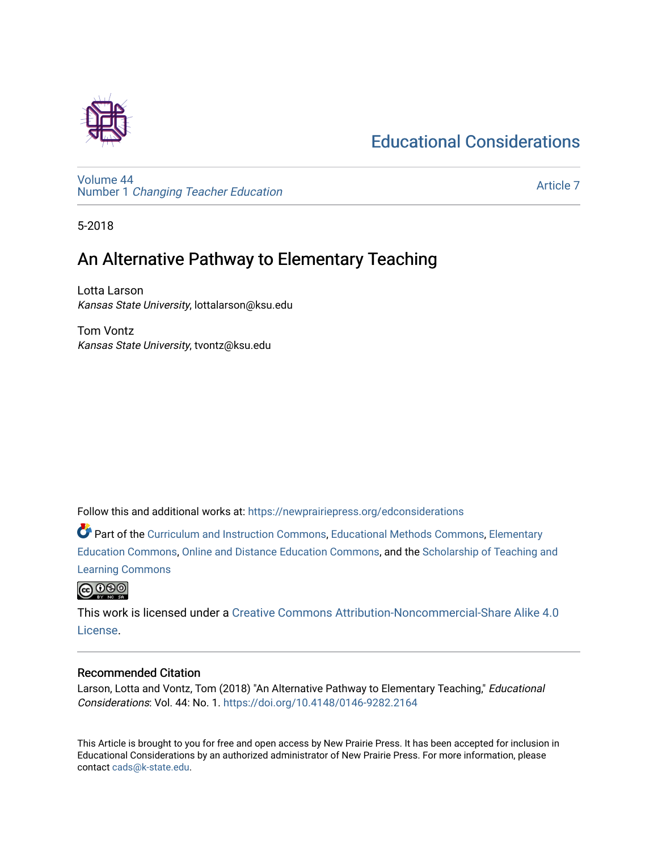# [Educational Considerations](https://newprairiepress.org/edconsiderations)



[Volume 44](https://newprairiepress.org/edconsiderations/vol44) Number 1 [Changing Teacher Education](https://newprairiepress.org/edconsiderations/vol44/iss1) 

[Article 7](https://newprairiepress.org/edconsiderations/vol44/iss1/7) 

5-2018

# An Alternative Pathway to Elementary Teaching

Lotta Larson Kansas State University, lottalarson@ksu.edu

Tom Vontz Kansas State University, tvontz@ksu.edu

Follow this and additional works at: [https://newprairiepress.org/edconsiderations](https://newprairiepress.org/edconsiderations?utm_source=newprairiepress.org%2Fedconsiderations%2Fvol44%2Fiss1%2F7&utm_medium=PDF&utm_campaign=PDFCoverPages) 

**C** Part of the [Curriculum and Instruction Commons,](http://network.bepress.com/hgg/discipline/786?utm_source=newprairiepress.org%2Fedconsiderations%2Fvol44%2Fiss1%2F7&utm_medium=PDF&utm_campaign=PDFCoverPages) [Educational Methods Commons,](http://network.bepress.com/hgg/discipline/1227?utm_source=newprairiepress.org%2Fedconsiderations%2Fvol44%2Fiss1%2F7&utm_medium=PDF&utm_campaign=PDFCoverPages) [Elementary](http://network.bepress.com/hgg/discipline/1378?utm_source=newprairiepress.org%2Fedconsiderations%2Fvol44%2Fiss1%2F7&utm_medium=PDF&utm_campaign=PDFCoverPages) [Education Commons,](http://network.bepress.com/hgg/discipline/1378?utm_source=newprairiepress.org%2Fedconsiderations%2Fvol44%2Fiss1%2F7&utm_medium=PDF&utm_campaign=PDFCoverPages) [Online and Distance Education Commons](http://network.bepress.com/hgg/discipline/1296?utm_source=newprairiepress.org%2Fedconsiderations%2Fvol44%2Fiss1%2F7&utm_medium=PDF&utm_campaign=PDFCoverPages), and the [Scholarship of Teaching and](http://network.bepress.com/hgg/discipline/1328?utm_source=newprairiepress.org%2Fedconsiderations%2Fvol44%2Fiss1%2F7&utm_medium=PDF&utm_campaign=PDFCoverPages) [Learning Commons](http://network.bepress.com/hgg/discipline/1328?utm_source=newprairiepress.org%2Fedconsiderations%2Fvol44%2Fiss1%2F7&utm_medium=PDF&utm_campaign=PDFCoverPages)



This work is licensed under a [Creative Commons Attribution-Noncommercial-Share Alike 4.0](https://creativecommons.org/licenses/by-nc-sa/4.0/) [License.](https://creativecommons.org/licenses/by-nc-sa/4.0/)

#### Recommended Citation

Larson, Lotta and Vontz, Tom (2018) "An Alternative Pathway to Elementary Teaching," Educational Considerations: Vol. 44: No. 1. <https://doi.org/10.4148/0146-9282.2164>

This Article is brought to you for free and open access by New Prairie Press. It has been accepted for inclusion in Educational Considerations by an authorized administrator of New Prairie Press. For more information, please contact [cads@k-state.edu](mailto:cads@k-state.edu).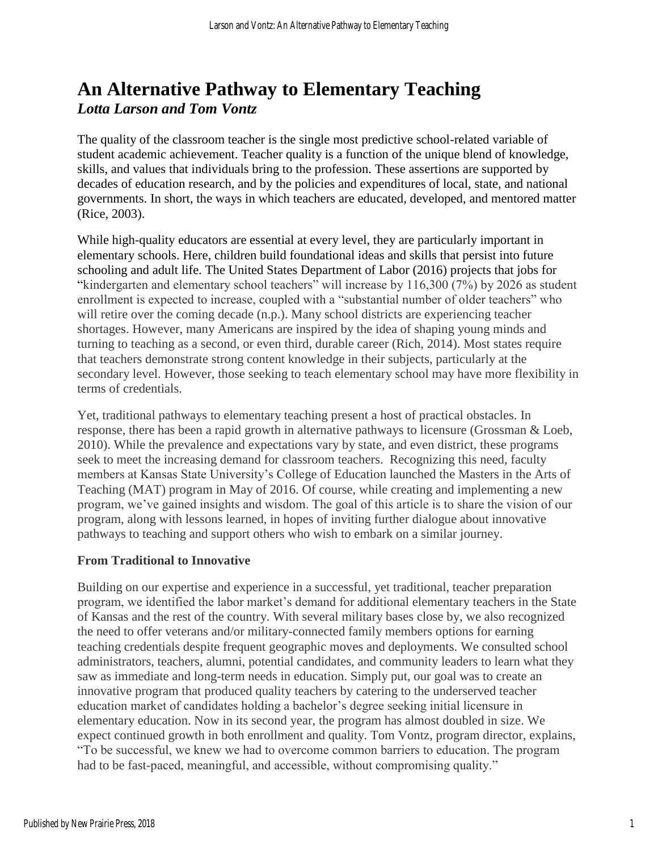# **An Alternative Pathway to Elementary Teaching** *Lotta Larson and Tom Vontz*

The quality of the classroom teacher is the single most predictive school-related variable of student academic achievement. Teacher quality is a function of the unique blend of knowledge, skills, and values that individuals bring to the profession. These assertions are supported by decades of education research, and by the policies and expenditures of local, state, and national governments. In short, the ways in which teachers are educated, developed, and mentored matter (Rice, 2003).

While high-quality educators are essential at every level, they are particularly important in elementary schools. Here, children build foundational ideas and skills that persist into future schooling and adult life. The United States Department of Labor (2016) projects that jobs for "kindergarten and elementary school teachers" will increase by 116,300 (7%) by 2026 as student enrollment is expected to increase, coupled with a "substantial number of older teachers" who will retire over the coming decade (n.p.). Many school districts are experiencing teacher shortages. However, many Americans are inspired by the idea of shaping young minds and turning to teaching as a second, or even third, durable career (Rich, 2014). Most states require that teachers demonstrate strong content knowledge in their subjects, particularly at the secondary level. However, those seeking to teach elementary school may have more flexibility in terms of credentials.

Yet, traditional pathways to elementary teaching present a host of practical obstacles. In response, there has been a rapid growth in alternative pathways to licensure (Grossman & Loeb, 2010). While the prevalence and expectations vary by state, and even district, these programs seek to meet the increasing demand for classroom teachers. Recognizing this need, faculty members at Kansas State University's College of Education launched the Masters in the Arts of Teaching (MAT) program in May of 2016. Of course, while creating and implementing a new program, we've gained insights and wisdom. The goal of this article is to share the vision of our program, along with lessons learned, in hopes of inviting further dialogue about innovative pathways to teaching and support others who wish to embark on a similar journey.

## **From Traditional to Innovative**

Building on our expertise and experience in a successful, yet traditional, teacher preparation program, we identified the labor market's demand for additional elementary teachers in the State of Kansas and the rest of the country. With several military bases close by, we also recognized the need to offer veterans and/or military-connected family members options for earning teaching credentials despite frequent geographic moves and deployments. We consulted school administrators, teachers, alumni, potential candidates, and community leaders to learn what they saw as immediate and long-term needs in education. Simply put, our goal was to create an innovative program that produced quality teachers by catering to the underserved teacher education market of candidates holding a bachelor's degree seeking initial licensure in elementary education. Now in its second year, the program has almost doubled in size. We expect continued growth in both enrollment and quality. Tom Vontz, program director, explains, "To be successful, we knew we had to overcome common barriers to education. The program had to be fast-paced, meaningful, and accessible, without compromising quality."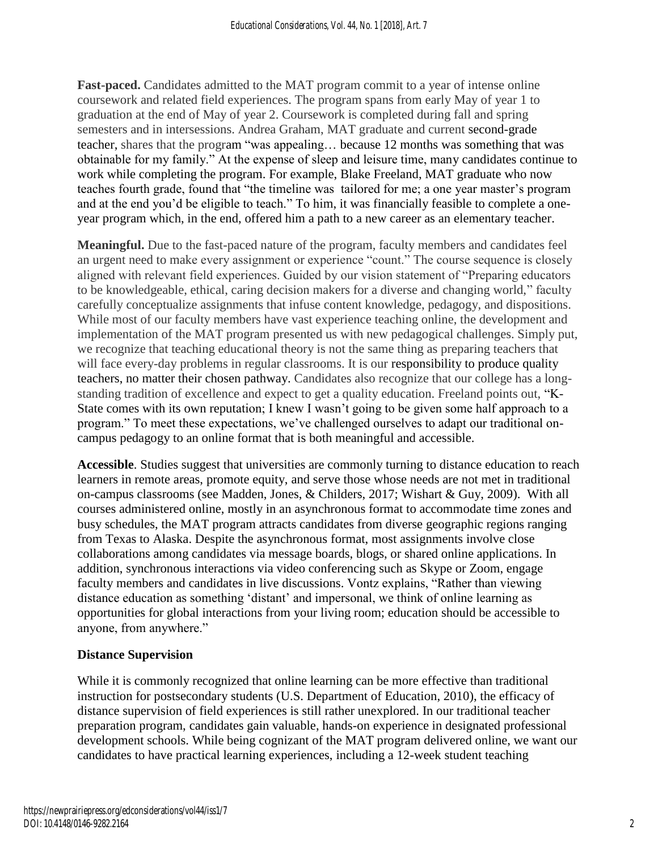**Fast-paced.** Candidates admitted to the MAT program commit to a year of intense online coursework and related field experiences. The program spans from early May of year 1 to graduation at the end of May of year 2. Coursework is completed during fall and spring semesters and in intersessions. Andrea Graham, MAT graduate and current second-grade teacher, shares that the program "was appealing… because 12 months was something that was obtainable for my family." At the expense of sleep and leisure time, many candidates continue to work while completing the program. For example, Blake Freeland, MAT graduate who now teaches fourth grade, found that "the timeline was tailored for me; a one year master's program and at the end you'd be eligible to teach." To him, it was financially feasible to complete a oneyear program which, in the end, offered him a path to a new career as an elementary teacher.

**Meaningful.** Due to the fast-paced nature of the program, faculty members and candidates feel an urgent need to make every assignment or experience "count." The course sequence is closely aligned with relevant field experiences. Guided by our vision statement of "Preparing educators to be knowledgeable, ethical, caring decision makers for a diverse and changing world," faculty carefully conceptualize assignments that infuse content knowledge, pedagogy, and dispositions. While most of our faculty members have vast experience teaching online, the development and implementation of the MAT program presented us with new pedagogical challenges. Simply put, we recognize that teaching educational theory is not the same thing as preparing teachers that will face every-day problems in regular classrooms. It is our responsibility to produce quality teachers, no matter their chosen pathway. Candidates also recognize that our college has a longstanding tradition of excellence and expect to get a quality education. Freeland points out, "K-State comes with its own reputation; I knew I wasn't going to be given some half approach to a program." To meet these expectations, we've challenged ourselves to adapt our traditional oncampus pedagogy to an online format that is both meaningful and accessible.

**Accessible**. Studies suggest that universities are commonly turning to distance education to reach learners in remote areas, promote equity, and serve those whose needs are not met in traditional on-campus classrooms (see Madden, Jones, & Childers, 2017; Wishart & Guy, 2009). With all courses administered online, mostly in an asynchronous format to accommodate time zones and busy schedules, the MAT program attracts candidates from diverse geographic regions ranging from Texas to Alaska. Despite the asynchronous format, most assignments involve close collaborations among candidates via message boards, blogs, or shared online applications. In addition, synchronous interactions via video conferencing such as Skype or Zoom, engage faculty members and candidates in live discussions. Vontz explains, "Rather than viewing distance education as something 'distant' and impersonal, we think of online learning as opportunities for global interactions from your living room; education should be accessible to anyone, from anywhere."

## **Distance Supervision**

While it is commonly recognized that online learning can be more effective than traditional instruction for postsecondary students (U.S. Department of Education, 2010), the efficacy of distance supervision of field experiences is still rather unexplored. In our traditional teacher preparation program, candidates gain valuable, hands-on experience in designated professional development schools. While being cognizant of the MAT program delivered online, we want our candidates to have practical learning experiences, including a 12-week student teaching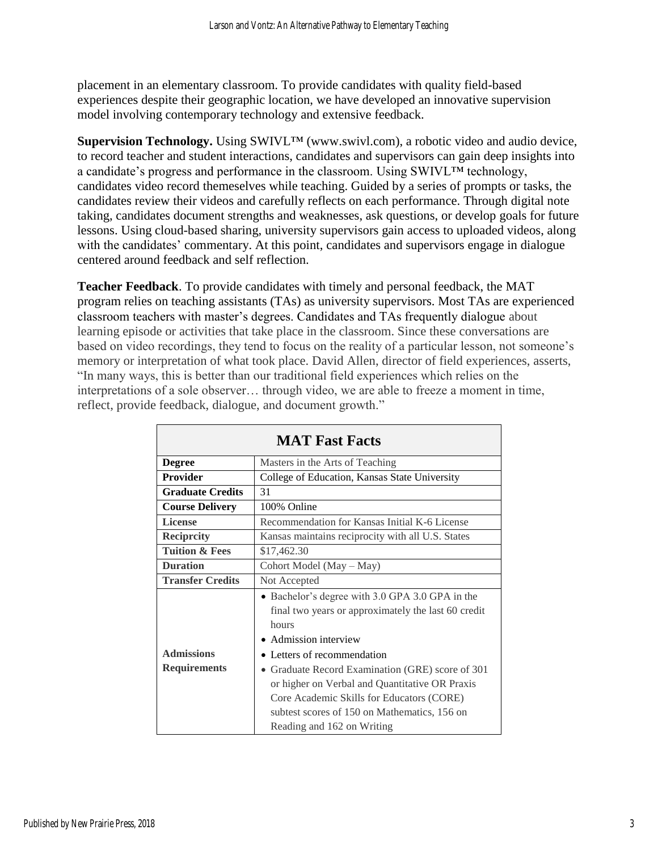placement in an elementary classroom. To provide candidates with quality field-based experiences despite their geographic location, we have developed an innovative supervision model involving contemporary technology and extensive feedback.

**Supervision Technology.** Using SWIVL™ (www.swivl.com), a robotic video and audio device, to record teacher and student interactions, candidates and supervisors can gain deep insights into a candidate's progress and performance in the classroom. Using SWIVL™ technology, candidates video record themeselves while teaching. Guided by a series of prompts or tasks, the candidates review their videos and carefully reflects on each performance. Through digital note taking, candidates document strengths and weaknesses, ask questions, or develop goals for future lessons. Using cloud-based sharing, university supervisors gain access to uploaded videos, along with the candidates' commentary. At this point, candidates and supervisors engage in dialogue centered around feedback and self reflection.

**Teacher Feedback**. To provide candidates with timely and personal feedback, the MAT program relies on teaching assistants (TAs) as university supervisors. Most TAs are experienced classroom teachers with master's degrees. Candidates and TAs frequently dialogue about learning episode or activities that take place in the classroom. Since these conversations are based on video recordings, they tend to focus on the reality of a particular lesson, not someone's memory or interpretation of what took place. David Allen, director of field experiences, asserts, "In many ways, this is better than our traditional field experiences which relies on the interpretations of a sole observer… through video, we are able to freeze a moment in time, reflect, provide feedback, dialogue, and document growth."

| <b>MAT Fast Facts</b>     |                                                     |
|---------------------------|-----------------------------------------------------|
| <b>Degree</b>             | Masters in the Arts of Teaching                     |
| <b>Provider</b>           | College of Education, Kansas State University       |
| <b>Graduate Credits</b>   | 31                                                  |
| <b>Course Delivery</b>    | 100% Online                                         |
| <b>License</b>            | Recommendation for Kansas Initial K-6 License       |
| <b>Reciprcity</b>         | Kansas maintains reciprocity with all U.S. States   |
| <b>Tuition &amp; Fees</b> | \$17,462.30                                         |
| <b>Duration</b>           | Cohort Model (May - May)                            |
| <b>Transfer Credits</b>   | Not Accepted                                        |
|                           | • Bachelor's degree with 3.0 GPA 3.0 GPA in the     |
|                           | final two years or approximately the last 60 credit |
|                           | hours                                               |
|                           | • Admission interview                               |
| <b>Admissions</b>         | Letters of recommendation                           |
| <b>Requirements</b>       | • Graduate Record Examination (GRE) score of 301    |
|                           | or higher on Verbal and Quantitative OR Praxis      |
|                           | Core Academic Skills for Educators (CORE)           |
|                           | subtest scores of 150 on Mathematics, 156 on        |
|                           | Reading and 162 on Writing                          |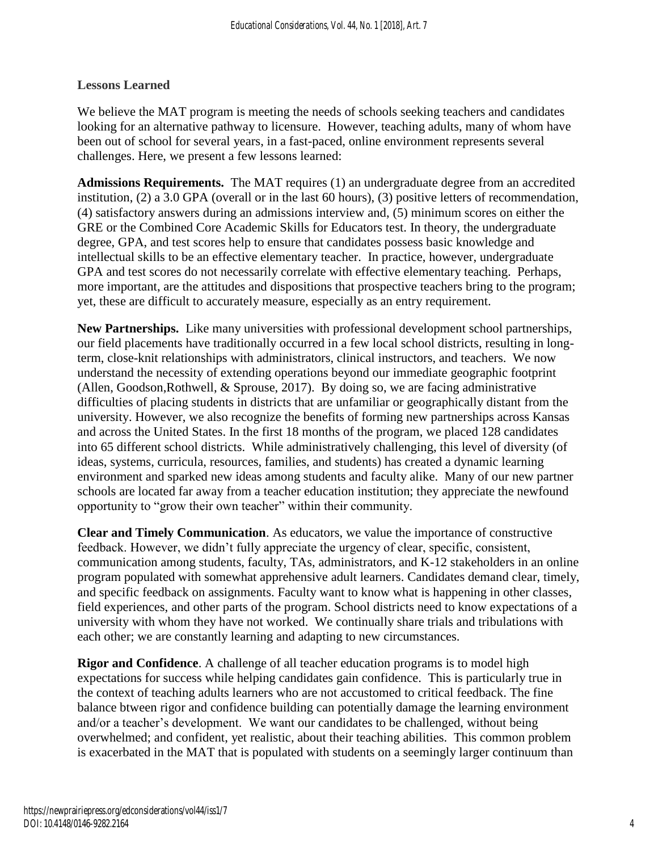### **Lessons Learned**

We believe the MAT program is meeting the needs of schools seeking teachers and candidates looking for an alternative pathway to licensure. However, teaching adults, many of whom have been out of school for several years, in a fast-paced, online environment represents several challenges. Here, we present a few lessons learned:

**Admissions Requirements.** The MAT requires (1) an undergraduate degree from an accredited institution, (2) a 3.0 GPA (overall or in the last 60 hours), (3) positive letters of recommendation, (4) satisfactory answers during an admissions interview and, (5) minimum scores on either the GRE or the Combined Core Academic Skills for Educators test. In theory, the undergraduate degree, GPA, and test scores help to ensure that candidates possess basic knowledge and intellectual skills to be an effective elementary teacher. In practice, however, undergraduate GPA and test scores do not necessarily correlate with effective elementary teaching. Perhaps, more important, are the attitudes and dispositions that prospective teachers bring to the program; yet, these are difficult to accurately measure, especially as an entry requirement.

**New Partnerships.** Like many universities with professional development school partnerships, our field placements have traditionally occurred in a few local school districts, resulting in longterm, close-knit relationships with administrators, clinical instructors, and teachers. We now understand the necessity of extending operations beyond our immediate geographic footprint (Allen, Goodson,Rothwell, & Sprouse, 2017). By doing so, we are facing administrative difficulties of placing students in districts that are unfamiliar or geographically distant from the university. However, we also recognize the benefits of forming new partnerships across Kansas and across the United States. In the first 18 months of the program, we placed 128 candidates into 65 different school districts. While administratively challenging, this level of diversity (of ideas, systems, curricula, resources, families, and students) has created a dynamic learning environment and sparked new ideas among students and faculty alike. Many of our new partner schools are located far away from a teacher education institution; they appreciate the newfound opportunity to "grow their own teacher" within their community.

**Clear and Timely Communication**. As educators, we value the importance of constructive feedback. However, we didn't fully appreciate the urgency of clear, specific, consistent, communication among students, faculty, TAs, administrators, and K-12 stakeholders in an online program populated with somewhat apprehensive adult learners. Candidates demand clear, timely, and specific feedback on assignments. Faculty want to know what is happening in other classes, field experiences, and other parts of the program. School districts need to know expectations of a university with whom they have not worked. We continually share trials and tribulations with each other; we are constantly learning and adapting to new circumstances.

**Rigor and Confidence**. A challenge of all teacher education programs is to model high expectations for success while helping candidates gain confidence. This is particularly true in the context of teaching adults learners who are not accustomed to critical feedback. The fine balance btween rigor and confidence building can potentially damage the learning environment and/or a teacher's development. We want our candidates to be challenged, without being overwhelmed; and confident, yet realistic, about their teaching abilities. This common problem is exacerbated in the MAT that is populated with students on a seemingly larger continuum than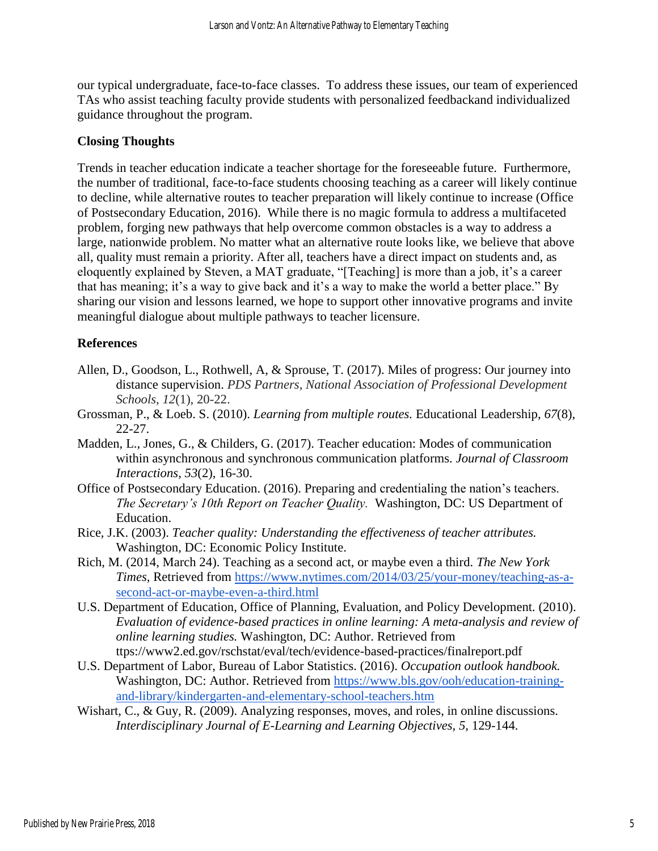our typical undergraduate, face-to-face classes. To address these issues, our team of experienced TAs who assist teaching faculty provide students with personalized feedbackand individualized guidance throughout the program.

### **Closing Thoughts**

Trends in teacher education indicate a teacher shortage for the foreseeable future. Furthermore, the number of traditional, face-to-face students choosing teaching as a career will likely continue to decline, while alternative routes to teacher preparation will likely continue to increase (Office of Postsecondary Education, 2016). While there is no magic formula to address a multifaceted problem, forging new pathways that help overcome common obstacles is a way to address a large, nationwide problem. No matter what an alternative route looks like, we believe that above all, quality must remain a priority. After all, teachers have a direct impact on students and, as eloquently explained by Steven, a MAT graduate, "[Teaching] is more than a job, it's a career that has meaning; it's a way to give back and it's a way to make the world a better place." By sharing our vision and lessons learned, we hope to support other innovative programs and invite meaningful dialogue about multiple pathways to teacher licensure.

### **References**

- Allen, D., Goodson, L., Rothwell, A, & Sprouse, T. (2017). Miles of progress: Our journey into distance supervision. *PDS Partners, National Association of Professional Development Schools, 12*(1), 20-22.
- Grossman, P., & Loeb. S. (2010). *Learning from multiple routes.* Educational Leadership, *67*(8), 22-27.
- Madden, L., Jones, G., & Childers, G. (2017). Teacher education: Modes of communication within asynchronous and synchronous communication platforms. *Journal of Classroom Interactions, 53*(2), 16-30.
- Office of Postsecondary Education. (2016). Preparing and credentialing the nation's teachers. *The Secretary's 10th Report on Teacher Quality.* Washington, DC: US Department of Education.
- Rice, J.K. (2003). *Teacher quality: Understanding the effectiveness of teacher attributes.*  Washington, DC: Economic Policy Institute.
- Rich, M. (2014, March 24). Teaching as a second act, or maybe even a third. *The New York Times,* Retrieved from [https://www.nytimes.com/2014/03/25/your-money/teaching-as-a](https://www.nytimes.com/2014/03/25/your-money/teaching-as-a-second-act-or-maybe-even-a-third.html)[second-act-or-maybe-even-a-third.html](https://www.nytimes.com/2014/03/25/your-money/teaching-as-a-second-act-or-maybe-even-a-third.html)
- U.S. Department of Education, Office of Planning, Evaluation, and Policy Development. (2010). *Evaluation of evidence-based practices in online learning: A meta-analysis and review of online learning studies.* Washington, DC: Author. Retrieved from ttps://www2.ed.gov/rschstat/eval/tech/evidence-based-practices/finalreport.pdf
- U.S. Department of Labor, Bureau of Labor Statistics. (2016). *Occupation outlook handbook.*  Washington, DC: Author. Retrieved from [https://www.bls.gov/ooh/education-training](https://www.bls.gov/ooh/education-training-and-library/kindergarten-and-elementary-school-teachers.htm)[and-library/kindergarten-and-elementary-school-teachers.htm](https://www.bls.gov/ooh/education-training-and-library/kindergarten-and-elementary-school-teachers.htm)
- Wishart, C., & Guy, R. (2009). Analyzing responses, moves, and roles, in online discussions. *Interdisciplinary Journal of E-Learning and Learning Objectives, 5,* 129-144.